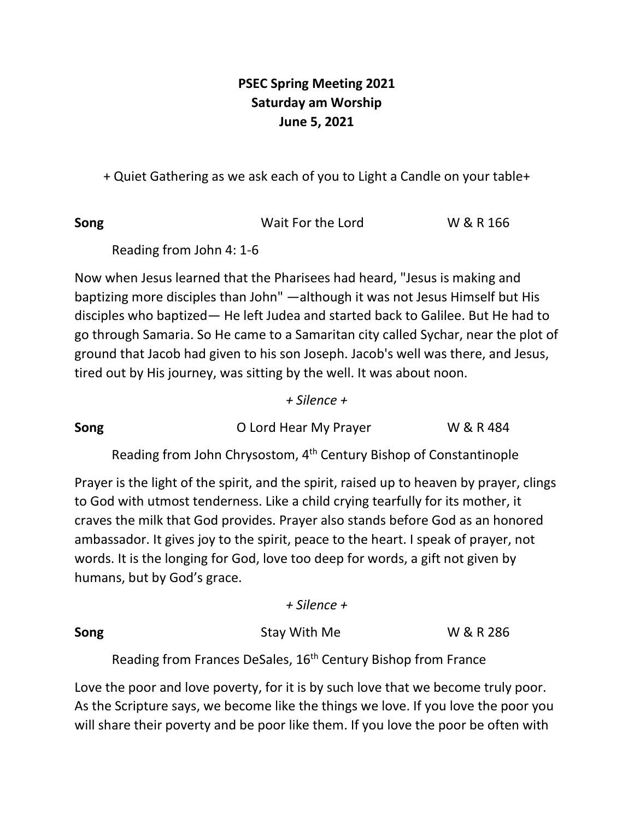## **PSEC Spring Meeting 2021 Saturday am Worship June 5, 2021**

+ Quiet Gathering as we ask each of you to Light a Candle on your table+

**Song** Wait For the Lord W & R 166

Reading from John 4: 1-6

Now when Jesus learned that the Pharisees had heard, "Jesus is making and baptizing more disciples than John" —although it was not Jesus Himself but His disciples who baptized— He left Judea and started back to Galilee. But He had to go through Samaria. So He came to a Samaritan city called Sychar, near the plot of ground that Jacob had given to his son Joseph. Jacob's well was there, and Jesus, tired out by His journey, was sitting by the well. It was about noon.

*+ Silence +*

**Song O Lord Hear My Prayer W & R 484** 

Reading from John Chrysostom, 4th Century Bishop of Constantinople

Prayer is the light of the spirit, and the spirit, raised up to heaven by prayer, clings to God with utmost tenderness. Like a child crying tearfully for its mother, it craves the milk that God provides. Prayer also stands before God as an honored ambassador. It gives joy to the spirit, peace to the heart. I speak of prayer, not words. It is the longing for God, love too deep for words, a gift not given by humans, but by God's grace.

*+ Silence +*

**Song** Stay With Me W & R 286

Reading from Frances DeSales, 16<sup>th</sup> Century Bishop from France

Love the poor and love poverty, for it is by such love that we become truly poor. As the Scripture says, we become like the things we love. If you love the poor you will share their poverty and be poor like them. If you love the poor be often with